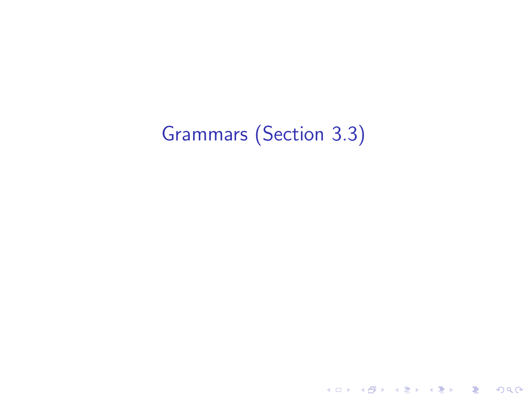# Grammars (Section 3.3)

K ロ ▶ ( d ) | K 글 > | K 글 > | [ 글 | 10 Q Q |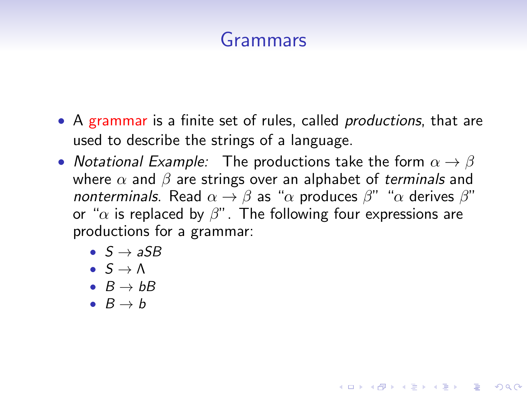# Grammars

- A grammar is a finite set of rules, called *productions*, that are used to describe the strings of a language.
- Notational Example: The productions take the form  $\alpha \rightarrow \beta$ where  $\alpha$  and  $\beta$  are strings over an alphabet of terminals and nonterminals. Read  $\alpha \to \beta$  as " $\alpha$  produces  $\beta$ " " $\alpha$  derives  $\beta$ " or " $\alpha$  is replaced by  $\beta$ ". The following four expressions are productions for a grammar:

**KORKAR KERKER EL VOLO** 

- $S \rightarrow aSB$
- $S \rightarrow \Lambda$
- $B \rightarrow bB$
- $B \rightarrow b$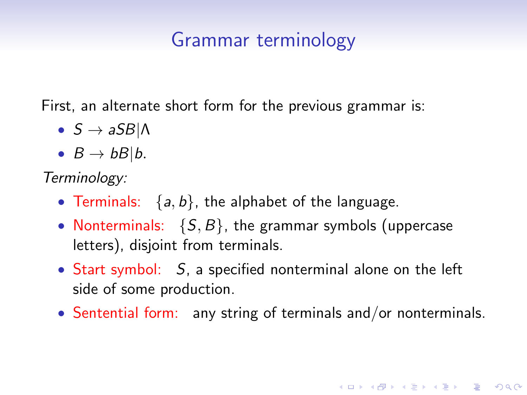## Grammar terminology

First, an alternate short form for the previous grammar is:

- $S \rightarrow aSB \mid \Lambda$
- $B \rightarrow bB/b$ .

Terminology:

- Terminals:  $\{a, b\}$ , the alphabet of the language.
- Nonterminals:  $\{S, B\}$ , the grammar symbols (uppercase letters), disjoint from terminals.
- Start symbol: S, a specified nonterminal alone on the left side of some production.
- Sentential form: any string of terminals and/or nonterminals.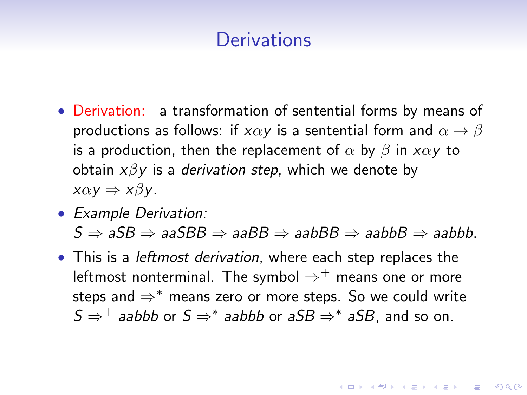## **Derivations**

- Derivation: a transformation of sentential forms by means of productions as follows: if  $x\alpha y$  is a sentential form and  $\alpha \rightarrow \beta$ is a production, then the replacement of  $\alpha$  by  $\beta$  in x $\alpha y$  to obtain  $x\beta y$  is a *derivation step*, which we denote by  $x\alpha y \Rightarrow x\beta y$ .
- Example Derivation:  $S \Rightarrow aSB \Rightarrow aaSBB \Rightarrow aaBB \Rightarrow aabBB \Rightarrow aabbb \Rightarrow aabbb$ .
- This is a *leftmost derivation*, where each step replaces the leftmost nonterminal. The symbol  $\Rightarrow^+$  means one or more steps and  $\Rightarrow^*$  means zero or more steps. So we could write  $S \Rightarrow^+$  aabbb or  $S \Rightarrow^*$  aabbb or a $SB \Rightarrow^*$  a $SB$ , and so on.

**KORKAR KERKER EL VOLO**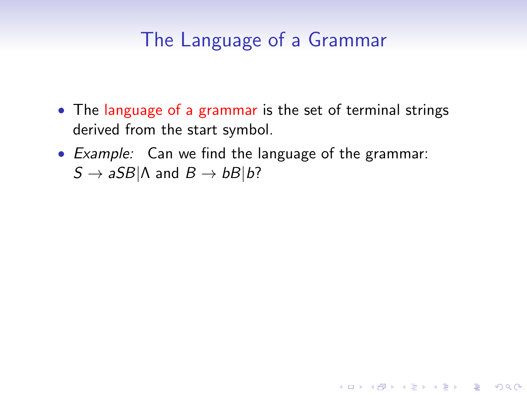## The Language of a Grammar

• The language of a grammar is the set of terminal strings derived from the start symbol.

K ロ ▶ K @ ▶ K 할 > K 할 > 1 할 > 1 이익어

• Example: Can we find the language of the grammar:  $S \rightarrow aSB \mid \Lambda$  and  $B \rightarrow bB \mid b$ ?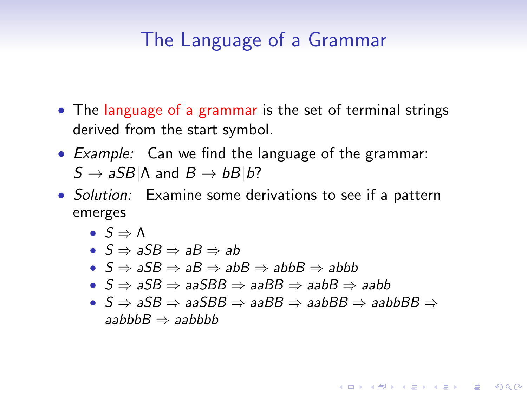## The Language of a Grammar

- The language of a grammar is the set of terminal strings derived from the start symbol.
- Example: Can we find the language of the grammar:  $S \rightarrow aSB \mid \Lambda$  and  $B \rightarrow bB \mid b$ ?
- Solution: Examine some derivations to see if a pattern emerges
	- $\bullet$   $S \Rightarrow \Lambda$
	- $S \Rightarrow aSB \Rightarrow aB \Rightarrow ab$
	- $S \Rightarrow aSB \Rightarrow aB \Rightarrow abB \Rightarrow abbB \Rightarrow abbb$
	- $S \Rightarrow aSB \Rightarrow aaSBB \Rightarrow aABB \Rightarrow aabb$
	- $S \Rightarrow aSB \Rightarrow aaSBB \Rightarrow aaBB \Rightarrow aabBB \Rightarrow aabBB \Rightarrow$ aabbb $B \Rightarrow$  aabbbb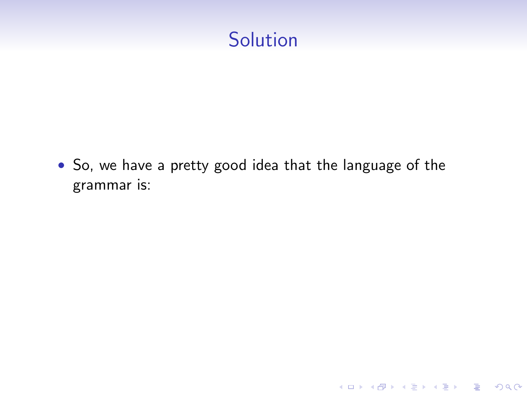## Solution

• So, we have a pretty good idea that the language of the grammar is:

K ロ X イロ X K ミ X K ミ X ミ → S V Q Q Q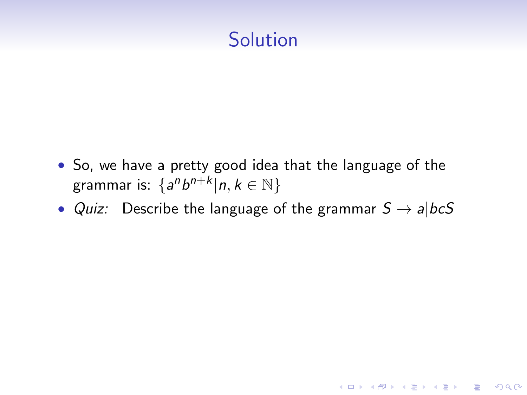# **Solution**

- So, we have a pretty good idea that the language of the grammar is:  $\{a^n b^{n+k} | n, k \in \mathbb{N}\}$
- *Quiz:* Describe the language of the grammar  $S \rightarrow a \mid bcS$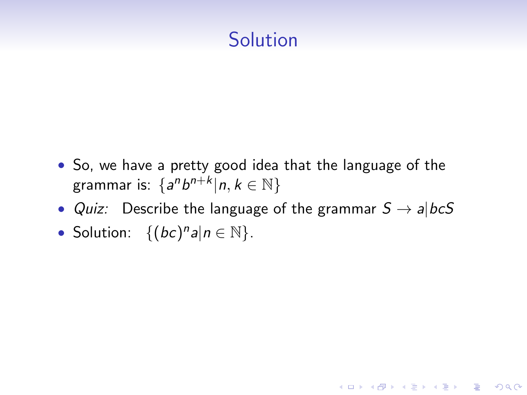# **Solution**

- So, we have a pretty good idea that the language of the grammar is:  $\{a^n b^{n+k} | n, k \in \mathbb{N}\}$
- Quiz: Describe the language of the grammar  $S \rightarrow a/bcS$

**KORK ERKER ADE YOUR** 

• Solution:  $\{(bc)^n a | n \in \mathbb{N}\}.$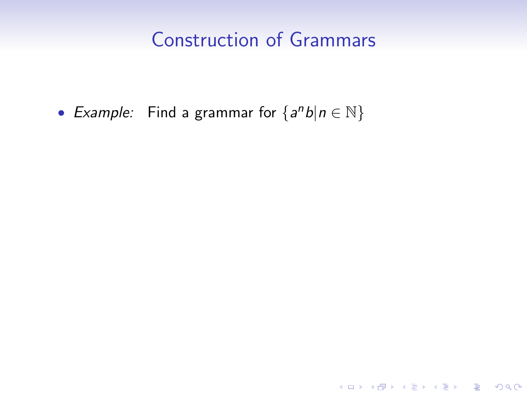K ロ ▶ K @ ▶ K 할 ▶ K 할 ▶ | 할 | ⊙Q @

• Example: Find a grammar for  $\{a^n b | n \in \mathbb{N}\}\$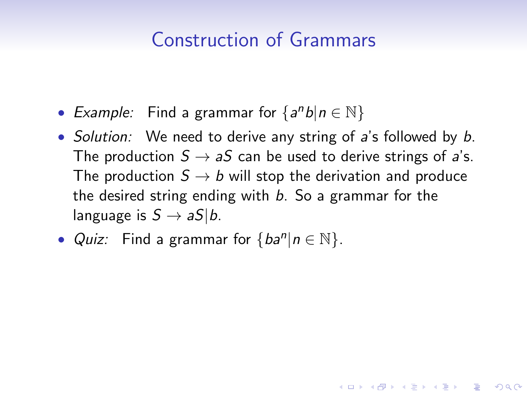- Example: Find a grammar for  $\{a^n b | n \in \mathbb{N}\}\$
- Solution: We need to derive any string of a's followed by b. The production  $S \rightarrow aS$  can be used to derive strings of a's. The production  $S \rightarrow b$  will stop the derivation and produce the desired string ending with  $b$ . So a grammar for the language is  $S \rightarrow aS/b$ .

**KORK ERKER ADE YOUR** 

• *Quiz*: Find a grammar for  $\{ba^n | n \in \mathbb{N}\}.$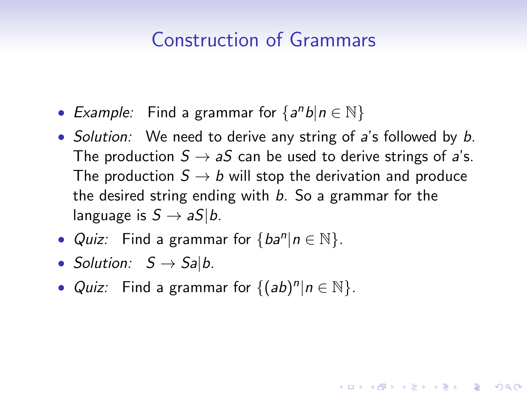- Example: Find a grammar for  $\{a^n b | n \in \mathbb{N}\}\$
- Solution: We need to derive any string of a's followed by b. The production  $S \rightarrow aS$  can be used to derive strings of a's. The production  $S \rightarrow b$  will stop the derivation and produce the desired string ending with  $b$ . So a grammar for the language is  $S \rightarrow aS/b$ .

- *Quiz*: Find a grammar for  $\{ba^n | n \in \mathbb{N}\}.$
- Solution:  $S \rightarrow S_{a} | b$ .
- *Quiz*: Find a grammar for  $\{(ab)^n | n \in \mathbb{N}\}.$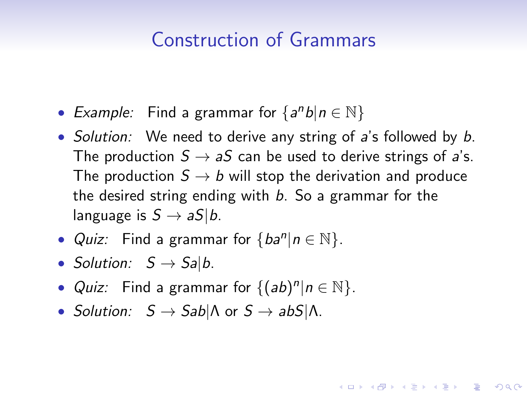- Example: Find a grammar for  $\{a^n b | n \in \mathbb{N}\}\$
- Solution: We need to derive any string of a's followed by b. The production  $S \rightarrow aS$  can be used to derive strings of a's. The production  $S \rightarrow b$  will stop the derivation and produce the desired string ending with  $b$ . So a grammar for the language is  $S \rightarrow aS/b$ .

- *Quiz*: Find a grammar for  $\{ba^n | n \in \mathbb{N}\}.$
- Solution:  $S \rightarrow S_{a} | b$ .
- *Quiz*: Find a grammar for  $\{(ab)^n | n \in \mathbb{N}\}.$
- Solution:  $S \rightarrow Sab|\Lambda$  or  $S \rightarrow abS|\Lambda$ .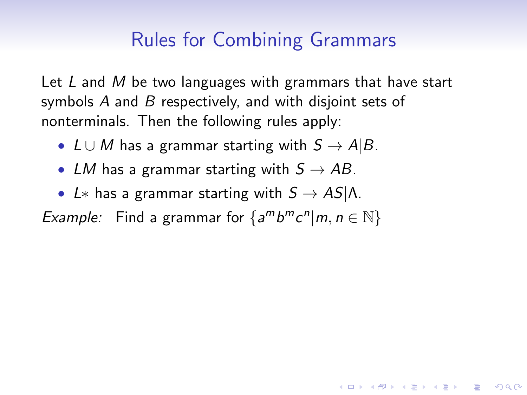## Rules for Combining Grammars

**KORK ERKER ADE YOUR** 

Let  $L$  and  $M$  be two languages with grammars that have start symbols  $A$  and  $B$  respectively, and with disjoint sets of nonterminals. Then the following rules apply:

- L ∪ M has a grammar starting with  $S \to A|B$ .
- LM has a grammar starting with  $S \rightarrow AB$ .
- L<sup>\*</sup> has a grammar starting with  $S \rightarrow AS|\Lambda$ .

Example: Find a grammar for  $\{a^m b^m c^n | m, n \in \mathbb{N}\}\$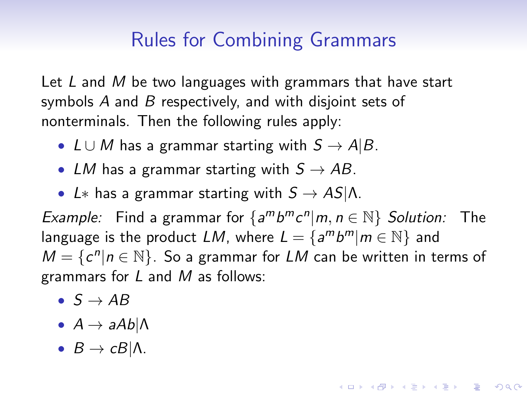## Rules for Combining Grammars

Let  $L$  and  $M$  be two languages with grammars that have start symbols  $A$  and  $B$  respectively, and with disjoint sets of nonterminals. Then the following rules apply:

- $L \cup M$  has a grammar starting with  $S \rightarrow A|B$ .
- LM has a grammar starting with  $S \rightarrow AB$ .
- L<sup>\*</sup> has a grammar starting with  $S \rightarrow AS|\Lambda$ .

Example: Find a grammar for  $\{a^m b^m c^n | m, n \in \mathbb{N}\}\$  Solution: The language is the product LM, where  $L = \{a^m b^m | m \in \mathbb{N}\}\$ and  $M = \{c^n | n \in \mathbb{N}\}\.$  So a grammar for LM can be written in terms of grammars for  $L$  and  $M$  as follows:

**KORKAR KERKER EL VOLO** 

- $S \rightarrow AB$
- $A \rightarrow aAb|\Lambda$
- $B \to cB/\Lambda$ .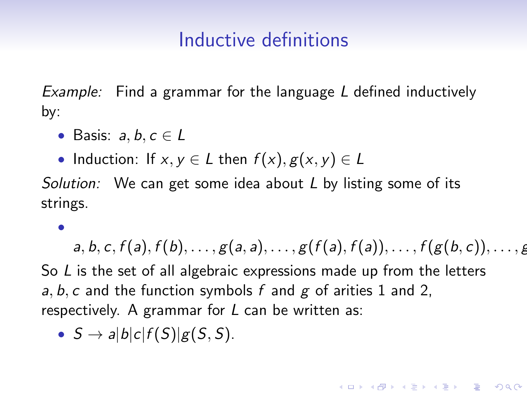### Inductive definitions

Example: Find a grammar for the language L defined inductively by:

- Basis:  $a, b, c \in L$
- Induction: If  $x, y \in L$  then  $f(x), g(x, y) \in L$

Solution: We can get some idea about  $L$  by listing some of its strings.

•

a, b, c, f(a), f(b), ...,  $g(a, a)$ , ...,  $g(f(a), f(a))$ , ...,  $f(g(b, c))$ , ...,  $\ell$ So L is the set of all algebraic expressions made up from the letters a, b, c and the function symbols f and  $g$  of arities 1 and 2. respectively. A grammar for  $L$  can be written as:

**KORKAR KERKER EL VOLO** 

•  $S \rightarrow a|b|c|f(S)|g(S, S)$ .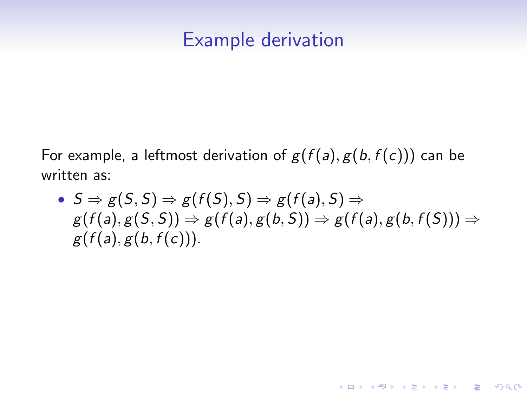#### Example derivation

For example, a leftmost derivation of  $g(f(a), g(b, f(c)))$  can be written as:

•  $S \Rightarrow g(S, S) \Rightarrow g(f(S), S) \Rightarrow g(f(a), S) \Rightarrow$  $g(f(a), g(S, S)) \Rightarrow g(f(a), g(b, S)) \Rightarrow g(f(a), g(b, f(S))) \Rightarrow$  $g(f(a), g(b, f(c)))$ .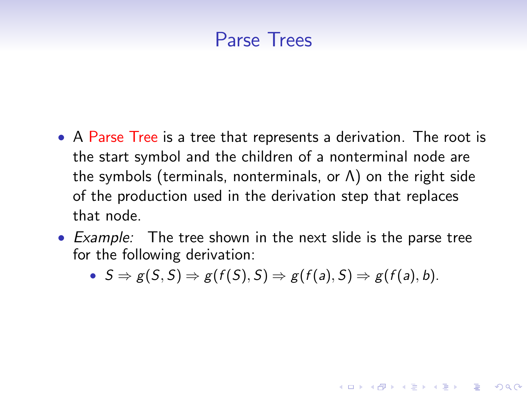### Parse Trees

- A Parse Tree is a tree that represents a derivation. The root is the start symbol and the children of a nonterminal node are the symbols (terminals, nonterminals, or  $Λ$ ) on the right side of the production used in the derivation step that replaces that node.
- Example: The tree shown in the next slide is the parse tree for the following derivation:

• 
$$
S \Rightarrow g(S, S) \Rightarrow g(f(S), S) \Rightarrow g(f(a), S) \Rightarrow g(f(a), b)
$$
.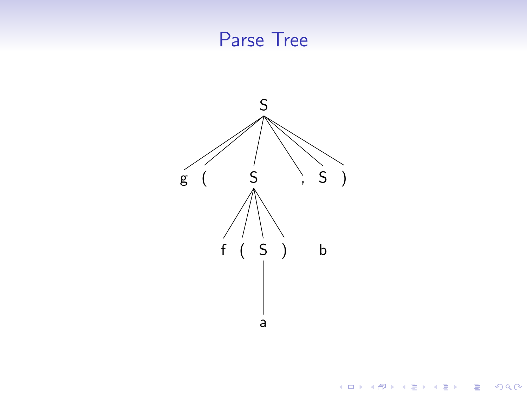## Parse Tree



 $290$ 

メロトメ 御 トメ 君 トメ 君 トッ 君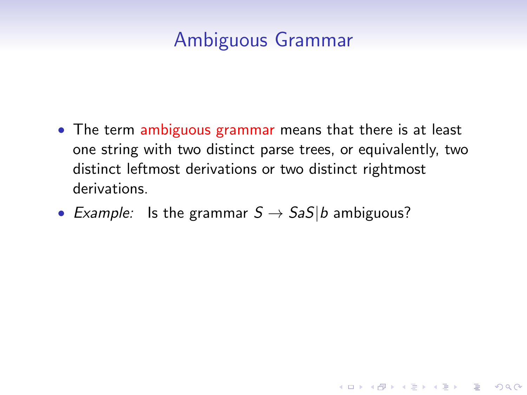## Ambiguous Grammar

• The term ambiguous grammar means that there is at least one string with two distinct parse trees, or equivalently, two distinct leftmost derivations or two distinct rightmost derivations.

**K ロ ▶ K @ ▶ K 할 X X 할 X 및 할 X X Q Q O** 

• Example: Is the grammar  $S \rightarrow SaS/b$  ambiguous?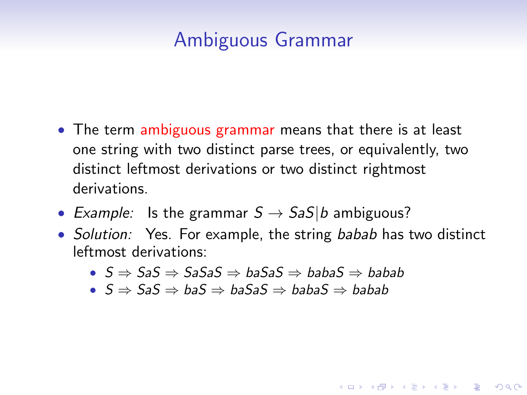### Ambiguous Grammar

- The term ambiguous grammar means that there is at least one string with two distinct parse trees, or equivalently, two distinct leftmost derivations or two distinct rightmost derivations.
- Example: Is the grammar  $S \rightarrow SaS/b$  ambiguous?
- Solution: Yes. For example, the string babab has two distinct leftmost derivations:

- $S \Rightarrow$  SaS  $\Rightarrow$  SaSaS  $\Rightarrow$  baSaS  $\Rightarrow$  babaS  $\Rightarrow$  babab
- $S \Rightarrow$  SaS  $\Rightarrow$  baS  $\Rightarrow$  baSaS  $\Rightarrow$  babaS  $\Rightarrow$  babab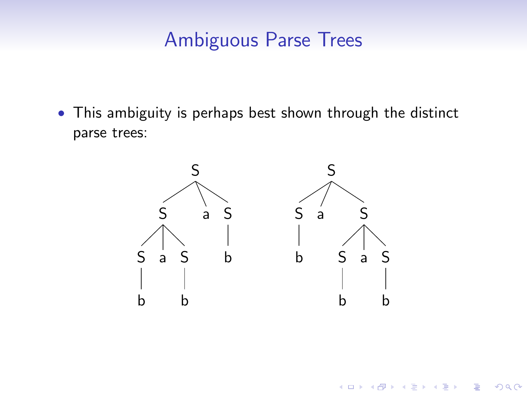## Ambiguous Parse Trees

• This ambiguity is perhaps best shown through the distinct parse trees:



K ロンス 御 > ス 할 > ス 할 > 이 할

 $299$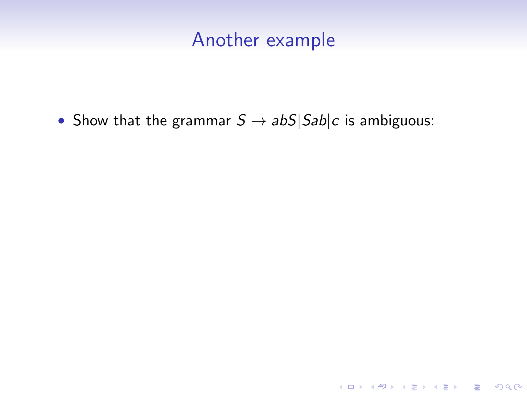#### Another example

K ロ ▶ K @ ▶ K 할 ▶ K 할 ▶ | 할 | ⊙Q @

• Show that the grammar  $S \rightarrow abS|Sab|c$  is ambiguous: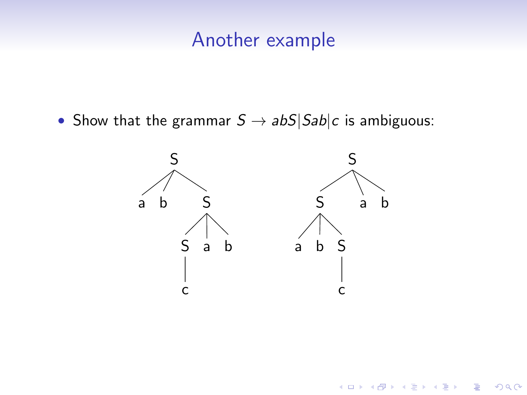#### Another example

• Show that the grammar  $S \rightarrow abS|Sab|c$  is ambiguous:



メロメ メ都 メメ きょ メモメ

È

 $299$